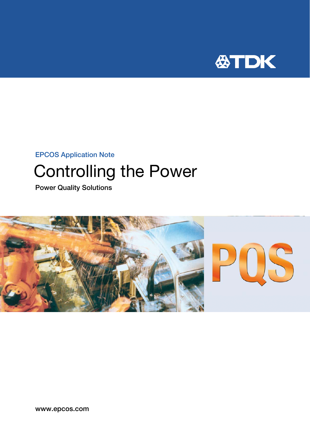

# EPCOS Application Note Controlling the Power

Power Quality Solutions

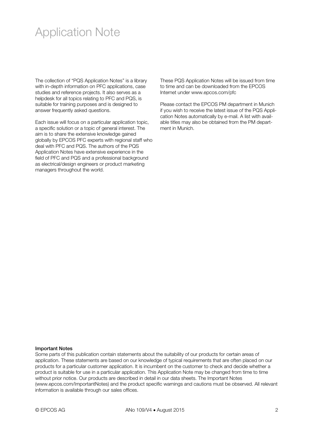### Application Note

The collection of "PQS Application Notes" is a library with in-depth information on PFC applications, case studies and reference projects. It also serves as a helpdesk for all topics relating to PFC and PQS, is suitable for training purposes and is designed to answer frequently asked questions.

Each issue will focus on a particular application topic, a specific solution or a topic of general interest. The aim is to share the extensive knowledge gained globally by EPCOS PFC experts with regional staff who deal with PFC and PQS. The authors of the PQS Application Notes have extensive experience in the field of PFC and PQS and a professional background as electrical/design engineers or product marketing managers throughout the world.

These PQS Application Notes will be issued from time to time and can be downloaded from the EPCOS Internet under www.epcos.com/pfc

Please contact the EPCOS PM department in Munich if you wish to receive the latest issue of the PQS Application Notes automatically by e-mail. A list with available titles may also be obtained from the PM department in Munich.

#### Important Notes

Some parts of this publication contain statements about the suitability of our products for certain areas of application. These statements are based on our knowledge of typical requirements that are often placed on our products for a particular customer application. It is incumbent on the customer to check and decide whether a product is suitable for use in a particular application. This Application Note may be changed from time to time without prior notice. Our products are described in detail in our data sheets. The Important Notes (www.epcos.com/ImportantNotes) and the product specific warnings and cautions must be observed. All relevant information is available through our sales offices.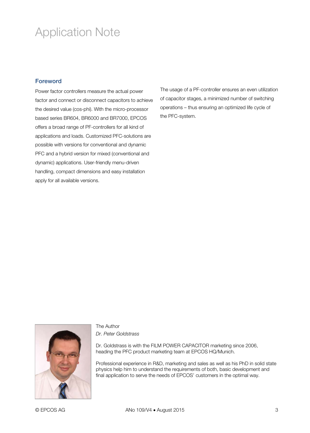## Application Note

### Foreword

Power factor controllers measure the actual power factor and connect or disconnect capacitors to achieve the desired value (cos-phi). With the micro-processor based series BR604, BR6000 and BR7000, EPCOS offers a broad range of PF-controllers for all kind of applications and loads. Customized PFC-solutions are possible with versions for conventional and dynamic PFC and a hybrid version for mixed (conventional and dynamic) applications. User-friendly menu-driven handling, compact dimensions and easy installation apply for all available versions.

The usage of a PF-controller ensures an even utilization of capacitor stages, a minimized number of switching operations – thus ensuring an optimized life cycle of the PFC-system.



### The Author *Dr. Peter Goldstrass*

Dr. Goldstrass is with the FILM POWER CAPACITOR marketing since 2006, heading the PFC product marketing team at EPCOS HQ/Munich.

Professional experience in R&D, marketing and sales as well as his PhD in solid state physics help him to understand the requirements of both, basic development and final application to serve the needs of EPCOS' customers in the optimal way.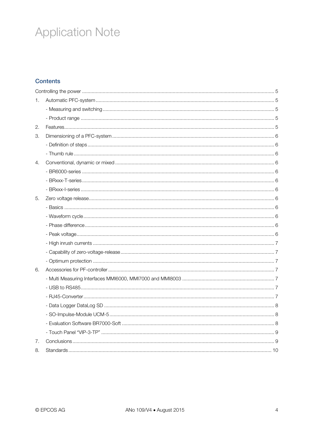# **Application Note**

### **Contents**

| 1. |  |  |
|----|--|--|
|    |  |  |
|    |  |  |
| 2. |  |  |
| 3. |  |  |
|    |  |  |
|    |  |  |
| 4. |  |  |
|    |  |  |
|    |  |  |
|    |  |  |
| 5. |  |  |
|    |  |  |
|    |  |  |
|    |  |  |
|    |  |  |
|    |  |  |
|    |  |  |
|    |  |  |
| 6. |  |  |
|    |  |  |
|    |  |  |
|    |  |  |
|    |  |  |
|    |  |  |
|    |  |  |
|    |  |  |
| 7. |  |  |
| 8. |  |  |
|    |  |  |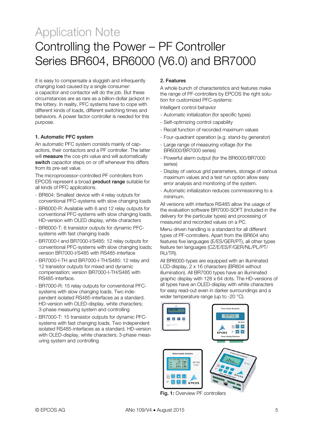It is easy to compensate a sluggish and infrequently changing load caused by a single consumer: a capacitor and contactor will do the job. But these circumstances are as rare as a billion-dollar jackpot in the lottery. In reality, PFC systems have to cope with different kinds of loads, different switching times and behaviors. A power factor controller is needed for this purpose.

### 1. Automatic PFC system

An automatic PFC system consists mainly of capacitors, their contactors and a PF controller. The latter will **measure** the cos-phi value and will automatically switch capacitor steps on or off whenever this differs from its pre-set value.

The microprocessor-controlled PF controllers from EPCOS represent a broad product range suitable for all kinds of PFC applications.

- BR604: Smallest device with 4 relay outputs for conventional PFC-systems with slow changing loads
- BR6000-R: Available with 6 and 12 relay outputs for conventional PFC-systems with slow changing loads. HD-version with OLED display, white characters
- BR6000-T: 6 transistor outputs for dynamic PFCsystems with fast changing loads
- BR7000-I and BR7000-I/S485: 12 relay outputs for conventional PFC-systems with slow changing loads; version BR7000-I/S485 with RS485-interface
- BR7000-I-TH and BR7000-I-TH/S485: 12 relay and 12 transistor outputs for mixed and dynamic compensation; version BR7000-I-TH/S485 with RS485-interface.
- BR7000-R: 15 relay outputs for conventional PFCsystems with slow changing loads. Two independent isolated RS485-interfaces as a standard. HD-version with OLED-display, white characters; 3-phase measuring system and controlling
- BR7000-T: 15 transistor outputs for dynamic PFCsystems with fast changing loads. Two independent isolated RS485-interfaces as a standard. HD-version with OLED-display, white characters; 3-phase measuring system and controlling

### 2. Features

A whole bunch of characteristics and features make the range of PF-controllers by EPCOS the right solution for customized PFC-systems:

Intelligent control behavior

- Automatic initialization (for specific types)
- Self-optimizing control capability
- Recall function of recorded maximum values
- Four-quadrant operation (e.g. stand-by generator)
- Large range of measuring voltage (for the BR6000/BR7000 series)
- Powerful alarm output (for the BR6000/BR7000 series)
- Display of various grid parameters, storage of various maximum values and a test run option allow easy error analysis and monitoring of the system.
- Automatic initialization reduces commissioning to a minimum.

All versions with interface RS485 allow the usage of the evaluation software BR7000-SOFT (included in the delivery for the particular types) and processing of measured and recorded values on a PC.

Menu driven handling is a standard for all different types of PF-controllers. Apart from the BR604 who features five languages (E/ES/GER/PT), all other types feature ten languages (CZ/E/ES/F/GER/NL/PL/PT/ RU/TR).

All BR6000-types are equipped with an illuminated LCD-display, 2 x 16 characters (BR604 without illumination). All BR7000 types have an illuminated graphic display with 128 x 64 dots. The HD-versions of all types have an OLED-display with white characters for easy read-out even in darker surroundings and a wider temperature range (up to -20 °C).



Fig. 1: Overview PF controllers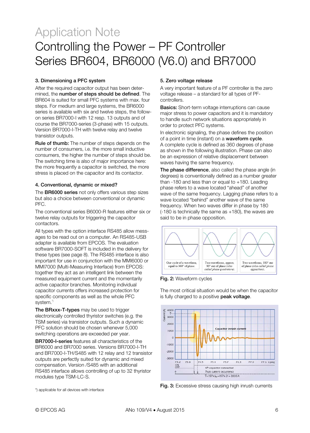### 3. Dimensioning a PFC system

After the required capacitor output has been determined, the number of steps should be defined. The BR604 is suited for small PFC systems with max. four steps. For medium and large systems, the BR6000 series is available with six and twelve steps, the followon series BR7000-I with 12 resp. 13 outputs and of course the BR7000-series (3-phase) with 15 outputs. Version BR7000-I-TH with twelve relay and twelve transistor outputs.

Rule of thumb: The number of steps depends on the number of consumers, i.e. the more small inductive consumers, the higher the number of steps should be. The switching time is also of major importance here: the more frequently a capacitor is switched, the more stress is placed on the capacitor and its contactor.

### 4. Conventional, dynamic or mixed?

The **BR6000 series** not only offers various step sizes but also a choice between conventional or dynamic PFC.

The conventional series B6000-R features either six or twelve relay outputs for triggering the capacitor contactors.

All types with the option interface RS485 allow messages to be read out on a computer. An RS485-USB adapter is available from EPCOS. The evaluation software BR7000-SOFT is included in the delivery for these types (see page 8). The RS485 interface is also important for use in conjunction with the MMI6000 or MMI7000 (Multi-Measuring Interface) from EPCOS: together they act as an intelligent link between the measured equipment current and the momentarily active capacitor branches. Monitoring individual capacitor currents offers increased protection for specific components as well as the whole PFC system."

The BRxxx-T-types may be used to trigger electronically controlled thyristor switches (e.g. the TSM series) via transistor outputs. Such a dynamic PFC solution should be chosen whenever 5,000 switching operations are exceeded per year.

BR7000-I-series features all characteristics of the BR6000 and BR7000 series. Versions BR7000-I-TH and BR7000-I-TH/S485 with 12 relay and 12 transistor outputs are perfectly suited for dynamic and mixed compensation. Version /S485 with an additional RS485 interface allows controlling of up to 32 thyristor modules type TSM-LC-S.

### 5. Zero voltage release

A very important feature of a PF controller is the zero voltage release – a standard for all types of PFcontrollers.

**Basics:** Short-term voltage interruptions can cause major stress to power capacitors and it is mandatory to handle such network situations appropriately in order to protect PFC systems.

In electronic signaling, the phase defines the position of a point in time (instant) on a waveform cycle. A complete cycle is defined as 360 degrees of phase as shown in the following illustration. Phase can also be an expression of relative displacement between waves having the same frequency.

The phase difference, also called the phase angle (in degrees) is conventionally defined as a number greater than -180 and less than or equal to +180. Leading phase refers to a wave located "ahead" of another wave of the same frequency. Lagging phase refers to a wave located "behind" another wave of the same frequency. When two waves differ in phase by 180 (-180 is technically the same as +180), the waves are said to be in phase opposition.



Fig. 2: Waveform cycles

The most critical situation would be when the capacitor is fully charged to a positive peak voltage.



Fig. 3: Excessive stress causing high inrush currents

\*) applicable for all devices with interface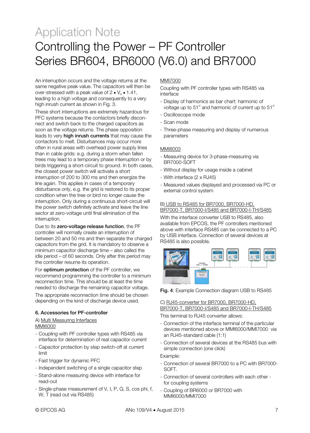An interruption occurs and the voltage returns at the same negative peak value. The capacitors will then be over-stressed with a peak value of  $2 \cdot V_{\text{e}} \cdot 1.41$ , leading to a high voltage and consequently to a very high inrush current as shown in Fig. 3.

These short interruptions are extremely hazardous for PFC systems because the contactors briefly disconnect and switch back to the charged capacitors as soon as the voltage returns. The phase opposition leads to very high inrush currents that may cause the contactors to melt. Disturbances may occur more often in rural areas with overhead power supply lines than in cable grids: e.g. during a storm when fallen trees may lead to a temporary phase interruption or by birds triggering a short-circuit to ground. In both cases, the closest power switch will activate a short interruption of 200 to 300 ms and then energize the line again. This applies in cases of a temporary disturbance only, e.g. the grid is restored to its proper condition when the tree or bird no longer cause the interruption. Only during a continuous short-circuit will the power switch definitely activate and leave the line sector at zero-voltage until final elimination of the interruption.

Due to its zero-voltage release function, the PF controller will normally create an interruption of between 20 and 50 ms and then separate the charged capacitors from the grid. It is mandatory to observe a minimum capacitor discharge time – also called the idle period – of 60 seconds. Only after this period may the controller resume its operation.

For optimum protection of the PF controller, we recommend programming the controller to a minimum reconnection time. This should be at least the time needed to discharge the remaining capacitor voltage.

The appropriate reconnection time should be chosen depending on the kind of discharge device used.

### 6. Accessories for PF-controller

A) Multi Measuring Interfaces MMI6000

- Coupling with PF controller types with RS485 via interface for determination of real capacitor current
- Capacitor protection by step switch-off at current limit
- Fast trigger for dynamic PFC
- Independent switching of a single capacitor step
- Stand-alone measuring device with interface for read-out
- Single-phase measurement of V, I, P, Q, S, cos phi, f, W, T (read out via RS485)

### MMI7000

Coupling with PF controller types with RS485 via interface

- Display of harmonics as bar chart: harmonic of voltage up to  $51<sup>st</sup>$  and harmonic of current up to  $51<sup>st</sup>$
- Oscilloscope mode
- Scan mode
- Three-phase measuring and display of numerous parameters

### MMI8003

- Measuring device for 3-phase-measuring via BR7000-SOFT
- Without display for usage inside a cabinet
- With interface (2 x RJ45)
- Measured values displayed and processed via PC or external control system

### B) USB to RS485 for BR7000, BR7000-HD, BR7000-T, BR7000-I/S485 and BR7000-I-TH/S485

With the interface converter USB to RS485, also available from EPCOS, the PF controllers mentioned above with interface RS485 can be connected to a PC by USB interface. Connection of several devices at RS485 is also possible.



Fig. 4: Example Connection diagram USB to RS485

#### C) RJ45-converter for BR7000, BR7000-HD, BR7000-T, BR7000-I/S485 and BR7000-I-TH/S485

This terminal to RJ45 converter allows:

- Connection of the interface terminal of the particular devices mentioned above or MMI6000/MMI7000 via an RJ45-standard cable (1:1)
- Connection of several devices at the RS485 bus with simple connection (one click)

#### Example:

- Connection of several BR7000 to a PC with BR7000- SOFT.
- Connection of several controllers with each other for coupling systems
- Coupling of BR6000 or BR7000 with MMI6000/MMI7000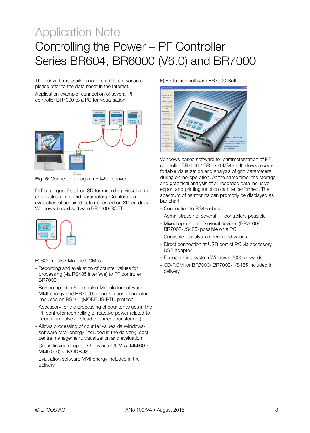The converter is available in three different variants; please refer to the data sheet in the Internet.

Application example: connection of several PF controller BR7000 to a PC for visualisation.



Fig. 5: Connection diagram RJ45 – converter

D) Data logger DataLog SD for recording, visualization and evaluation of grid parameters. Comfortable evaluation of acquired data (recorded on SD-card) via Windows-based software BR7000-SOFT



- E) SO-Impulse-Module UCM-5
- Recording and evaluation of counter values for processing (via RS485 interface) to PF controller BR7000.
- Bus compatible S0-Impulse-Module for software MMI-energy and BR7000 for conversion of counter impulses on RS485 (MODBUS-RTU protocol)
- Accessory for the processing of counter values in the PF controller (controlling of reactive power related to counter impulses instead of current transformer)
- Allows processing of counter values via Windowssoftware MMI-energy (included in the delivery): cost centre management, visualization and evaluation
- Cross-linking of up to 32 devices (UCM-5, MMI6000, MMI7000) at MODBUS
- Evaluation software MMI-energy included in the delivery

### F) Evaluation software BR7000-Soft



Windows based software for parameterization of PF controller BR7000 / BR7000-I/S485. It allows a comfortable visualization and analysis of grid parameters during online-operation. At the same time, the storage and graphical analysis of all recorded data inclusive export and printing function can be performed. The spectrum of harmonics can promptly be displayed as bar chart.

- Connection to RS485-bus
- Administration of several PF controllers possible
- Mixed operation of several devices (BR7000/ BR7000-I/S485) possible on a PC
- Convenient analysis of recorded values
- Direct connection at USB port of PC via accessory USB adapter
- For operating system Windows 2000 onwards
- CD-ROM for BR7000/ BR7000-1/S485 included in delivery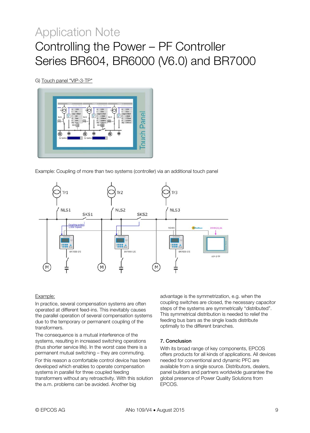G) Touch panel "VIP-3-TP"



Example: Coupling of more than two systems (controller) via an additional touch panel



#### Example:

In practice, several compensation systems are often operated at different feed-ins. This inevitably causes the parallel operation of several compensation systems due to the temporary or permanent coupling of the transformers.

The consequence is a mutual interference of the systems, resulting in increased switching operations (thus shorter service life). In the worst case there is a permanent mutual switching – they are commuting.

For this reason a comfortable control device has been developed which enables to operate compensation systems in parallel for three coupled feeding transformers without any retroactivity. With this solution the a.m. problems can be avoided. Another big

advantage is the symmetrization, e.g. when the coupling switches are closed, the necessary capacitor steps of the systems are symmetrically "distributed". This symmetrical distribution is needed to relief the feeding bus bars as the single loads distribute optimally to the different branches.

#### 7. Conclusion

With its broad range of key components, EPCOS offers products for all kinds of applications. All devices needed for conventional and dynamic PFC are available from a single source. Distributors, dealers, panel builders and partners worldwide guarantee the global presence of Power Quality Solutions from EPCOS.